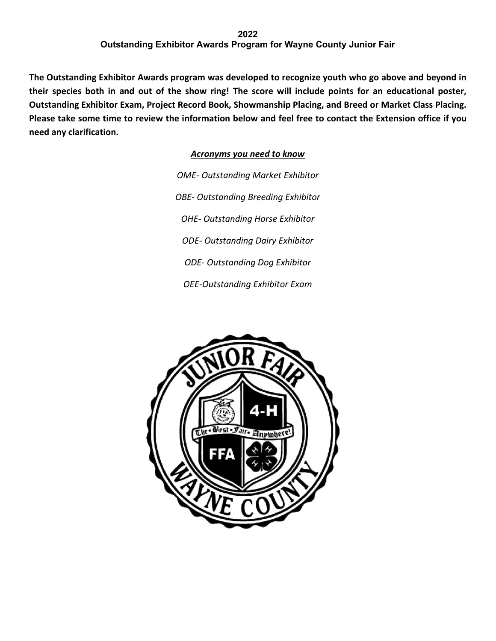## **2022 Outstanding Exhibitor Awards Program for Wayne County Junior Fair**

**The Outstanding Exhibitor Awards program was developed to recognize youth who go above and beyond in their species both in and out of the show ring! The score will include points for an educational poster, Outstanding Exhibitor Exam, Project Record Book, Showmanship Placing, and Breed or Market Class Placing. Please take some time to review the information below and feel free to contact the Extension office if you need any clarification.**

*Acronyms you need to know*

*OME- Outstanding Market Exhibitor OBE- Outstanding Breeding Exhibitor OHE- Outstanding Horse Exhibitor ODE- Outstanding Dairy Exhibitor ODE- Outstanding Dog Exhibitor OEE-Outstanding Exhibitor Exam*

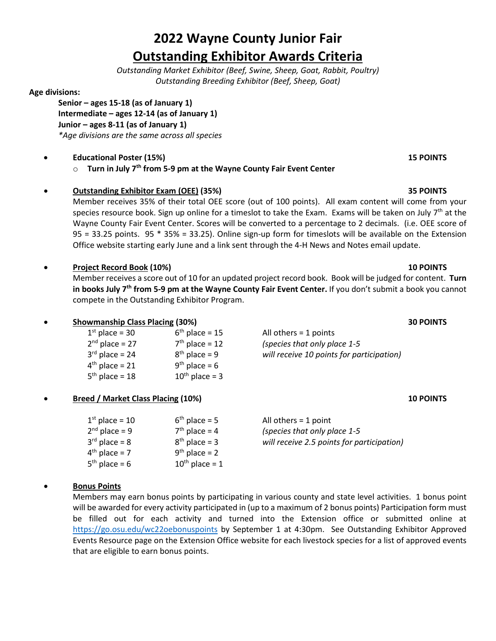# **2022 Wayne County Junior Fair Outstanding Exhibitor Awards Criteria**

*Outstanding Market Exhibitor (Beef, Swine, Sheep, Goat, Rabbit, Poultry) Outstanding Breeding Exhibitor (Beef, Sheep, Goat)*

### **Age divisions:**

**Senior – ages 15-18 (as of January 1) Intermediate – ages 12-14 (as of January 1) Junior – ages 8-11 (as of January 1)** *\*Age divisions are the same across all species*

# • **Educational Poster (15%) 15 POINTS**

o **Turn in July 7th from 5-9 pm at the Wayne County Fair Event Center**

# • **Outstanding Exhibitor Exam (OEE) (35%) 35 POINTS**

Member receives 35% of their total OEE score (out of 100 points). All exam content will come from your species resource book. Sign up online for a timeslot to take the Exam. Exams will be taken on July  $7<sup>th</sup>$  at the Wayne County Fair Event Center. Scores will be converted to a percentage to 2 decimals. (i.e. OEE score of 95 = 33.25 points. 95 \* 35% = 33.25). Online sign-up form for timeslots will be available on the Extension Office website starting early June and a link sent through the 4-H News and Notes email update.

# • **Project Record Book (10%) 10 POINTS**

Member receives a score out of 10 for an updated project record book. Book will be judged for content. **Turn in books July 7th from 5-9 pm at the Wayne County Fair Event Center.** If you don't submit a book you cannot compete in the Outstanding Exhibitor Program.

| <b>Showmanship Class Placing (30%)</b> |                     | <b>30 POINTS</b>                          |  |
|----------------------------------------|---------------------|-------------------------------------------|--|
| $1st$ place = 30                       | $6th$ place = 15    | All others $=$ 1 points                   |  |
| $2nd$ place = 27                       | $7th$ place = 12    | (species that only place 1-5              |  |
| $3rd$ place = 24                       | $8th$ place = 9     | will receive 10 points for participation) |  |
| $4th$ place = 21                       | $9th$ place = 6     |                                           |  |
| $5th$ place = 18                       | $10^{th}$ place = 3 |                                           |  |
|                                        |                     |                                           |  |

### • **Breed / Market Class Placing (10%) 10 POINTS**

| $6th$ place = 5     |
|---------------------|
| $7th$ place = 4     |
| $8th$ place = 3     |
| $9th$ place = 2     |
| $10^{th}$ place = 1 |
|                     |

All others =  $1$  point 2nd place = 9 7th place = 4 *(species that only place 1-5* 3rd place = 8 8th place = 3 *will receive 2.5 points for participation)*

# • **Bonus Points**

Members may earn bonus points by participating in various county and state level activities. 1 bonus point will be awarded for every activity participated in (up to a maximum of 2 bonus points) Participation form must be filled out for each activity and turned into the Extension office or submitted online at <https://go.osu.edu/wc22oebonuspoints> by September 1 at 4:30pm. See Outstanding Exhibitor Approved Events Resource page on the Extension Office website for each livestock species for a list of approved events that are eligible to earn bonus points.